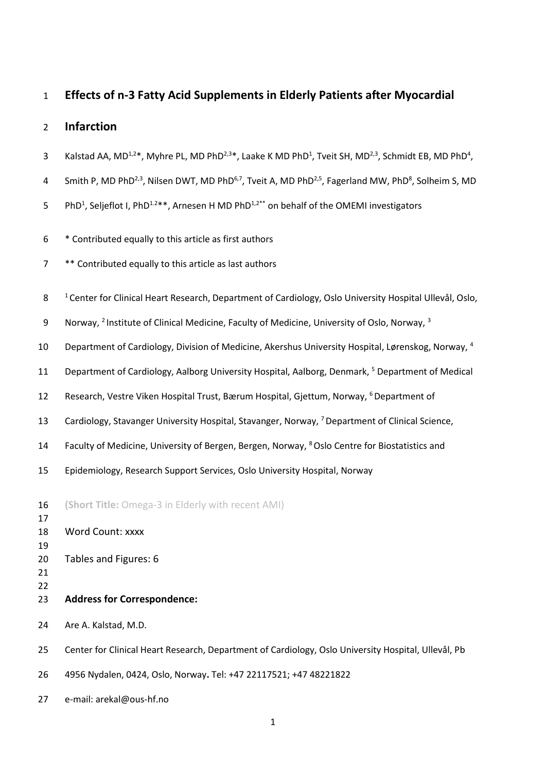# **Effects of n-3 Fatty Acid Supplements in Elderly Patients after Myocardial**

# **Infarction**

- 3 Kalstad AA, MD<sup>1,2\*</sup>, Myhre PL, MD PhD<sup>2,3\*</sup>, Laake K MD PhD<sup>1</sup>, Tveit SH, MD<sup>2,3</sup>, Schmidt EB, MD PhD<sup>4</sup>,
- 4 Smith P, MD PhD<sup>2,3</sup>, Nilsen DWT, MD PhD<sup>6,7</sup>, Tveit A, MD PhD<sup>2,5</sup>, Fagerland MW, PhD<sup>8</sup>, Solheim S, MD
- 5 PhD<sup>1</sup>, Seljeflot I, PhD<sup>1.2\*\*</sup>, Arnesen H MD PhD<sup>1,2\*\*</sup> on behalf of the OMEMI investigators
- \* Contributed equally to this article as first authors
- \*\* Contributed equally to this article as last authors
- <sup>1</sup> Center for Clinical Heart Research, Department of Cardiology, Oslo University Hospital Ullevål, Oslo,
- 9 Norway, <sup>2</sup> Institute of Clinical Medicine, Faculty of Medicine, University of Oslo, Norway, <sup>3</sup>
- 10 Department of Cardiology, Division of Medicine, Akershus University Hospital, Lørenskog, Norway, <sup>4</sup>
- 11 Department of Cardiology, Aalborg University Hospital, Aalborg, Denmark, <sup>5</sup> Department of Medical
- 12 Research, Vestre Viken Hospital Trust, Bærum Hospital, Gjettum, Norway, <sup>6</sup> Department of
- 13 Cardiology, Stavanger University Hospital, Stavanger, Norway, <sup>7</sup> Department of Clinical Science,
- 14 Faculty of Medicine, University of Bergen, Bergen, Norway, <sup>8</sup> Oslo Centre for Biostatistics and
- Epidemiology, Research Support Services, Oslo University Hospital, Norway
- **(Short Title:** Omega-3 in Elderly with recent AMI)
- Word Count: xxxx
- Tables and Figures: 6
- 
- 
- **Address for Correspondence:**
- Are A. Kalstad, M.D.
- Center for Clinical Heart Research, Department of Cardiology, Oslo University Hospital, Ullevål, Pb
- 4956 Nydalen, 0424, Oslo, Norway**.** Tel: +47 22117521; +47 48221822
- e-mail: arekal@ous-hf.no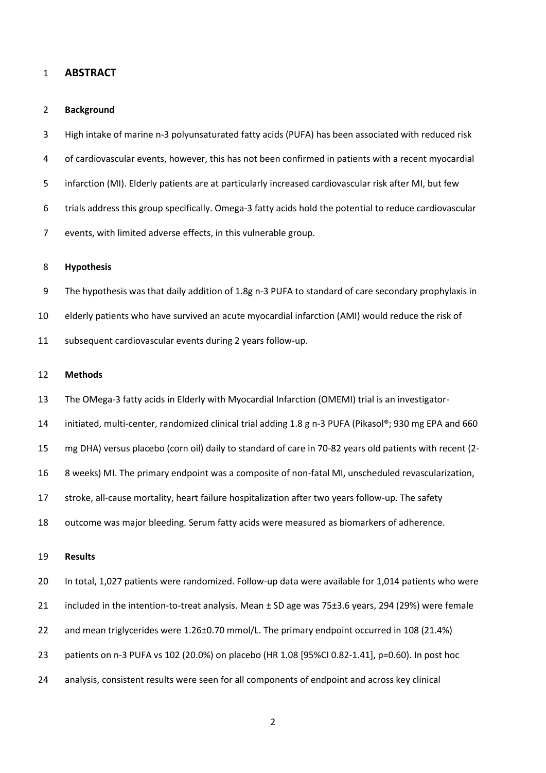### **ABSTRACT**

#### **Background**

 High intake of marine n-3 polyunsaturated fatty acids (PUFA) has been associated with reduced risk of cardiovascular events, however, this has not been confirmed in patients with a recent myocardial infarction (MI). Elderly patients are at particularly increased cardiovascular risk after MI, but few trials address this group specifically. Omega-3 fatty acids hold the potential to reduce cardiovascular events, with limited adverse effects, in this vulnerable group.

### **Hypothesis**

 The hypothesis was that daily addition of 1.8g n-3 PUFA to standard of care secondary prophylaxis in elderly patients who have survived an acute myocardial infarction (AMI) would reduce the risk of subsequent cardiovascular events during 2 years follow-up.

#### **Methods**

The OMega-3 fatty acids in Elderly with Myocardial Infarction (OMEMI) trial is an investigator-

initiated, multi-center, randomized clinical trial adding 1.8 g n-3 PUFA (Pikasol®; 930 mg EPA and 660

mg DHA) versus placebo (corn oil) daily to standard of care in 70-82 years old patients with recent (2-

8 weeks) MI. The primary endpoint was a composite of non-fatal MI, unscheduled revascularization,

stroke, all-cause mortality, heart failure hospitalization after two years follow-up. The safety

outcome was major bleeding. Serum fatty acids were measured as biomarkers of adherence.

#### **Results**

In total, 1,027 patients were randomized. Follow-up data were available for 1,014 patients who were

included in the intention-to-treat analysis. Mean ± SD age was 75±3.6 years, 294 (29%) were female

- and mean triglycerides were 1.26±0.70 mmol/L. The primary endpoint occurred in 108 (21.4%)
- patients on n-3 PUFA vs 102 (20.0%) on placebo (HR 1.08 [95%CI 0.82-1.41], p=0.60). In post hoc
- analysis, consistent results were seen for all components of endpoint and across key clinical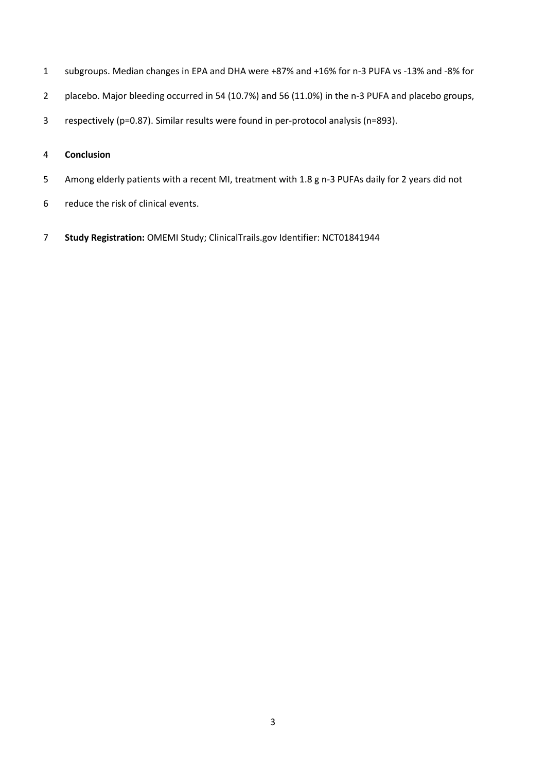- subgroups. Median changes in EPA and DHA were +87% and +16% for n-3 PUFA vs -13% and -8% for
- placebo. Major bleeding occurred in 54 (10.7%) and 56 (11.0%) in the n-3 PUFA and placebo groups,
- respectively (p=0.87). Similar results were found in per-protocol analysis (n=893).

# **Conclusion**

- Among elderly patients with a recent MI, treatment with 1.8 g n-3 PUFAs daily for 2 years did not
- reduce the risk of clinical events.
- **Study Registration:** OMEMI Study; ClinicalTrails.gov Identifier: NCT01841944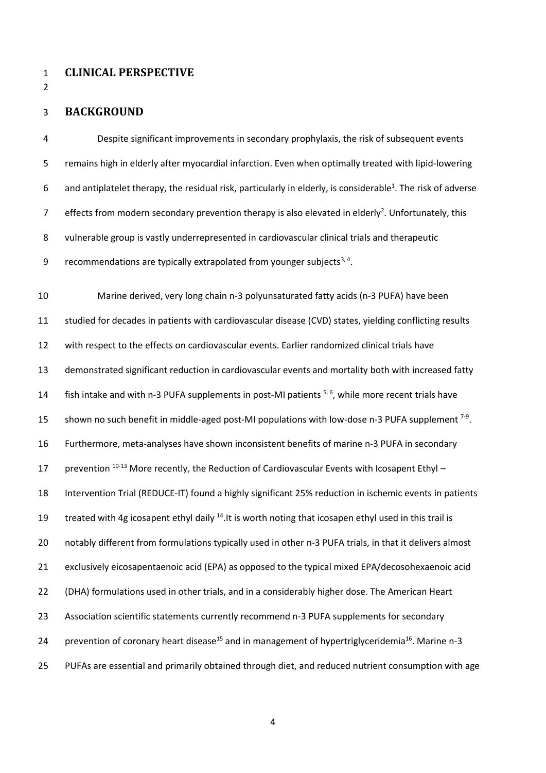- **CLINICAL PERSPECTIVE**
- 

### **BACKGROUND**

 Despite significant improvements in secondary prophylaxis, the risk of subsequent events remains high in elderly after myocardial infarction. Even when optimally treated with lipid-lowering 6 and antiplatelet therapy, the residual risk, particularly in elderly, is considerable<sup>1</sup>. The risk of adverse Fuller of from modern secondary prevention therapy is also elevated in elderly<sup>2</sup>. Unfortunately, this vulnerable group is vastly underrepresented in cardiovascular clinical trials and therapeutic 9 recommendations are typically extrapolated from younger subjects<sup>3, 4</sup>.

 Marine derived, very long chain n-3 polyunsaturated fatty acids (n-3 PUFA) have been studied for decades in patients with cardiovascular disease (CVD) states, yielding conflicting results with respect to the effects on cardiovascular events. Earlier randomized clinical trials have demonstrated significant reduction in cardiovascular events and mortality both with increased fatty 14 fish intake and with n-3 PUFA supplements in post-MI patients  $5, 6$ , while more recent trials have 15 shown no such benefit in middle-aged post-MI populations with low-dose n-3 PUFA supplement  $7-9$ . Furthermore, meta-analyses have shown inconsistent benefits of marine n-3 PUFA in secondary 17 prevention <sup>10-13</sup> More recently, the Reduction of Cardiovascular Events with Icosapent Ethyl – Intervention Trial (REDUCE-IT) found a highly significant 25% reduction in ischemic events in patients 19 treated with 4g icosapent ethyl daily <sup>14</sup>.It is worth noting that icosapen ethyl used in this trail is notably different from formulations typically used in other n-3 PUFA trials, in that it delivers almost exclusively eicosapentaenoic acid (EPA) as opposed to the typical mixed EPA/decosohexaenoic acid (DHA) formulations used in other trials, and in a considerably higher dose. The American Heart Association scientific statements currently recommend n-3 PUFA supplements for secondary 24 prevention of coronary heart disease<sup>15</sup> and in management of hypertriglyceridemia<sup>16</sup>. Marine n-3 PUFAs are essential and primarily obtained through diet, and reduced nutrient consumption with age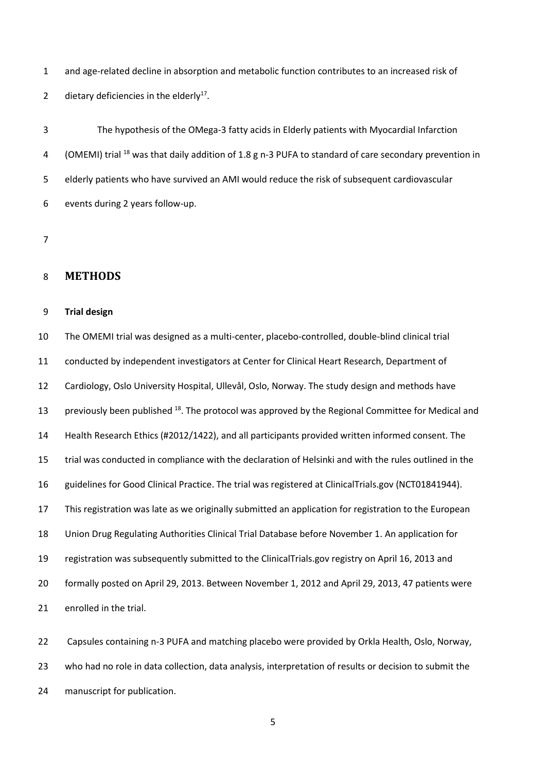and age-related decline in absorption and metabolic function contributes to an increased risk of 2 dietary deficiencies in the elderly<sup>17</sup>.

 The hypothesis of the OMega-3 fatty acids in Elderly patients with Myocardial Infarction 4 (OMEMI) trial <sup>18</sup> was that daily addition of 1.8 g n-3 PUFA to standard of care secondary prevention in elderly patients who have survived an AMI would reduce the risk of subsequent cardiovascular events during 2 years follow-up.

# **METHODS**

#### **Trial design**

 The OMEMI trial was designed as a multi-center, placebo-controlled, double-blind clinical trial conducted by independent investigators at Center for Clinical Heart Research, Department of Cardiology, Oslo University Hospital, Ullevål, Oslo, Norway. The study design and methods have 13 previously been published <sup>18</sup>. The protocol was approved by the Regional Committee for Medical and Health Research Ethics (#2012/1422), and all participants provided written informed consent. The trial was conducted in compliance with the declaration of Helsinki and with the rules outlined in the guidelines for Good Clinical Practice. The trial was registered at ClinicalTrials.gov (NCT01841944). This registration was late as we originally submitted an application for registration to the European Union Drug Regulating Authorities Clinical Trial Database before November 1. An application for registration was subsequently submitted to the ClinicalTrials.gov registry on April 16, 2013 and formally posted on April 29, 2013. Between November 1, 2012 and April 29, 2013, 47 patients were enrolled in the trial.

 Capsules containing n-3 PUFA and matching placebo were provided by Orkla Health, Oslo, Norway, who had no role in data collection, data analysis, interpretation of results or decision to submit the manuscript for publication.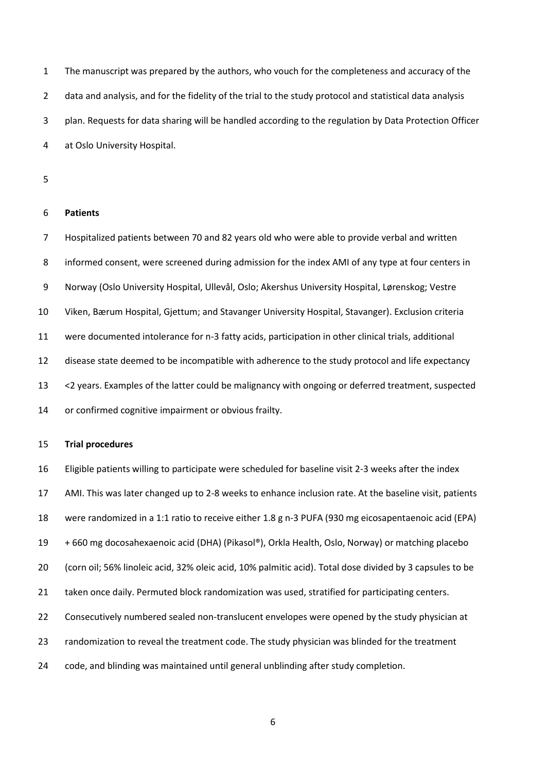The manuscript was prepared by the authors, who vouch for the completeness and accuracy of the data and analysis, and for the fidelity of the trial to the study protocol and statistical data analysis plan. Requests for data sharing will be handled according to the regulation by Data Protection Officer at Oslo University Hospital.

#### **Patients**

 Hospitalized patients between 70 and 82 years old who were able to provide verbal and written informed consent, were screened during admission for the index AMI of any type at four centers in Norway (Oslo University Hospital, Ullevål, Oslo; Akershus University Hospital, Lørenskog; Vestre Viken, Bærum Hospital, Gjettum; and Stavanger University Hospital, Stavanger). Exclusion criteria were documented intolerance for n-3 fatty acids, participation in other clinical trials, additional disease state deemed to be incompatible with adherence to the study protocol and life expectancy <2 years. Examples of the latter could be malignancy with ongoing or deferred treatment, suspected or confirmed cognitive impairment or obvious frailty.

#### **Trial procedures**

 Eligible patients willing to participate were scheduled for baseline visit 2-3 weeks after the index AMI. This was later changed up to 2-8 weeks to enhance inclusion rate. At the baseline visit, patients were randomized in a 1:1 ratio to receive either 1.8 g n-3 PUFA (930 mg eicosapentaenoic acid (EPA) + 660 mg docosahexaenoic acid (DHA) (Pikasol®), Orkla Health, Oslo, Norway) or matching placebo (corn oil; 56% linoleic acid, 32% oleic acid, 10% palmitic acid). Total dose divided by 3 capsules to be taken once daily. Permuted block randomization was used, stratified for participating centers. Consecutively numbered sealed non-translucent envelopes were opened by the study physician at randomization to reveal the treatment code. The study physician was blinded for the treatment code, and blinding was maintained until general unblinding after study completion.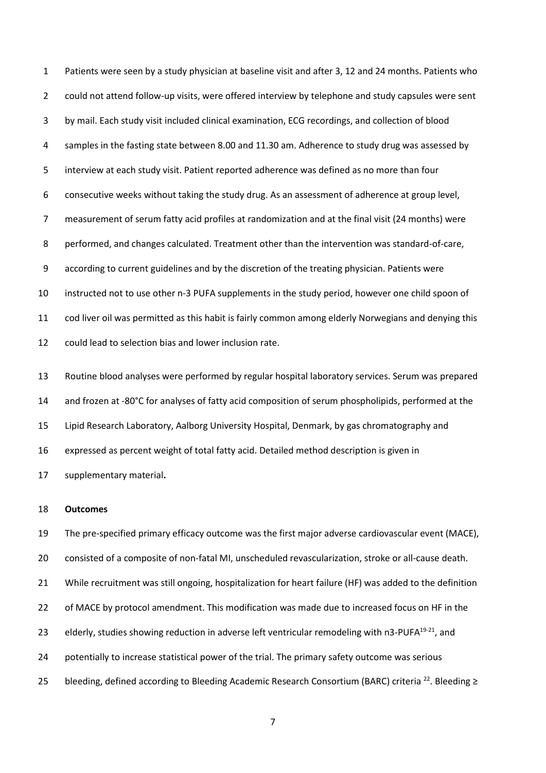Patients were seen by a study physician at baseline visit and after 3, 12 and 24 months. Patients who could not attend follow-up visits, were offered interview by telephone and study capsules were sent by mail. Each study visit included clinical examination, ECG recordings, and collection of blood samples in the fasting state between 8.00 and 11.30 am. Adherence to study drug was assessed by interview at each study visit. Patient reported adherence was defined as no more than four consecutive weeks without taking the study drug. As an assessment of adherence at group level, measurement of serum fatty acid profiles at randomization and at the final visit (24 months) were performed, and changes calculated. Treatment other than the intervention was standard-of-care, according to current guidelines and by the discretion of the treating physician. Patients were instructed not to use other n-3 PUFA supplements in the study period, however one child spoon of cod liver oil was permitted as this habit is fairly common among elderly Norwegians and denying this could lead to selection bias and lower inclusion rate.

 Routine blood analyses were performed by regular hospital laboratory services. Serum was prepared and frozen at -80°C for analyses of fatty acid composition of serum phospholipids, performed at the Lipid Research Laboratory, Aalborg University Hospital, Denmark, by gas chromatography and expressed as percent weight of total fatty acid. Detailed method description is given in supplementary material**.**

#### **Outcomes**

 The pre-specified primary efficacy outcome was the first major adverse cardiovascular event (MACE), consisted of a composite of non-fatal MI, unscheduled revascularization, stroke or all-cause death. While recruitment was still ongoing, hospitalization for heart failure (HF) was added to the definition of MACE by protocol amendment. This modification was made due to increased focus on HF in the 23 elderly, studies showing reduction in adverse left ventricular remodeling with n3-PUFA $^{19-21}$ , and potentially to increase statistical power of the trial. The primary safety outcome was serious 25 bleeding, defined according to Bleeding Academic Research Consortium (BARC) criteria <sup>22</sup>. Bleeding ≥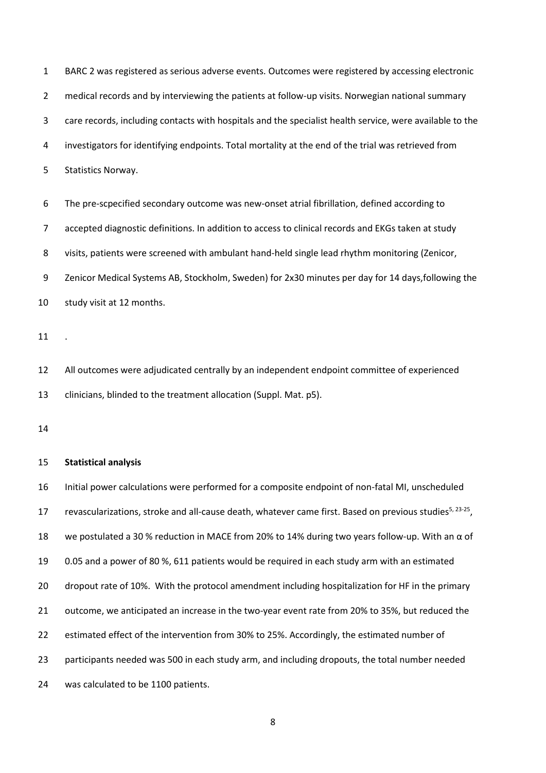BARC 2 was registered as serious adverse events. Outcomes were registered by accessing electronic medical records and by interviewing the patients at follow-up visits. Norwegian national summary care records, including contacts with hospitals and the specialist health service, were available to the investigators for identifying endpoints. Total mortality at the end of the trial was retrieved from Statistics Norway.

 The pre-scpecified secondary outcome was new-onset atrial fibrillation, defined according to accepted diagnostic definitions. In addition to access to clinical records and EKGs taken at study visits, patients were screened with ambulant hand-held single lead rhythm monitoring (Zenicor, Zenicor Medical Systems AB, Stockholm, Sweden) for 2x30 minutes per day for 14 days,following the study visit at 12 months.

.

 All outcomes were adjudicated centrally by an independent endpoint committee of experienced clinicians, blinded to the treatment allocation (Suppl. Mat. p5).

#### **Statistical analysis**

 Initial power calculations were performed for a composite endpoint of non-fatal MI, unscheduled 17 revascularizations, stroke and all-cause death, whatever came first. Based on previous studies<sup>5, 23-25</sup>, we postulated a 30 % reduction in MACE from 20% to 14% during two years follow-up. With an α of 0.05 and a power of 80 %, 611 patients would be required in each study arm with an estimated dropout rate of 10%. With the protocol amendment including hospitalization for HF in the primary outcome, we anticipated an increase in the two-year event rate from 20% to 35%, but reduced the estimated effect of the intervention from 30% to 25%. Accordingly, the estimated number of participants needed was 500 in each study arm, and including dropouts, the total number needed was calculated to be 1100 patients.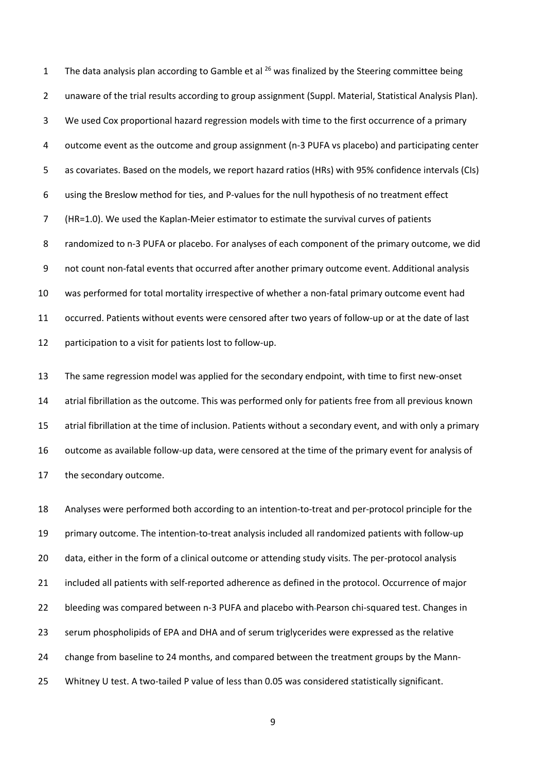1 The data analysis plan according to Gamble et al  $^{26}$  was finalized by the Steering committee being unaware of the trial results according to group assignment (Suppl. Material, Statistical Analysis Plan). We used Cox proportional hazard regression models with time to the first occurrence of a primary outcome event as the outcome and group assignment (n-3 PUFA vs placebo) and participating center as covariates. Based on the models, we report hazard ratios (HRs) with 95% confidence intervals (CIs) using the Breslow method for ties, and P-values for the null hypothesis of no treatment effect (HR=1.0). We used the Kaplan-Meier estimator to estimate the survival curves of patients randomized to n-3 PUFA or placebo. For analyses of each component of the primary outcome, we did not count non-fatal events that occurred after another primary outcome event. Additional analysis was performed for total mortality irrespective of whether a non-fatal primary outcome event had occurred. Patients without events were censored after two years of follow-up or at the date of last participation to a visit for patients lost to follow-up.

 The same regression model was applied for the secondary endpoint, with time to first new-onset atrial fibrillation as the outcome. This was performed only for patients free from all previous known atrial fibrillation at the time of inclusion. Patients without a secondary event, and with only a primary outcome as available follow-up data, were censored at the time of the primary event for analysis of the secondary outcome.

 Analyses were performed both according to an intention-to-treat and per-protocol principle for the primary outcome. The intention-to-treat analysis included all randomized patients with follow-up data, either in the form of a clinical outcome or attending study visits. The per-protocol analysis included all patients with self-reported adherence as defined in the protocol. Occurrence of major bleeding was compared between n-3 PUFA and placebo with Pearson chi-squared test. Changes in serum phospholipids of EPA and DHA and of serum triglycerides were expressed as the relative change from baseline to 24 months, and compared between the treatment groups by the Mann-25 Whitney U test. A two-tailed P value of less than 0.05 was considered statistically significant.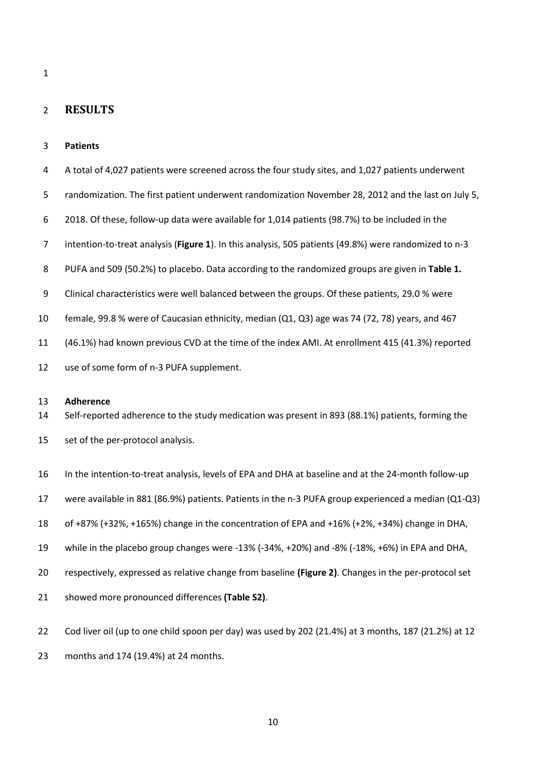#### 

# **RESULTS**

### **Patients**

 A total of 4,027 patients were screened across the four study sites, and 1,027 patients underwent randomization. The first patient underwent randomization November 28, 2012 and the last on July 5, 2018. Of these, follow-up data were available for 1,014 patients (98.7%) to be included in the intention-to-treat analysis (**Figure 1**). In this analysis, 505 patients (49.8%) were randomized to n-3 PUFA and 509 (50.2%) to placebo. Data according to the randomized groups are given in **Table 1.** Clinical characteristics were well balanced between the groups. Of these patients, 29.0 % were female, 99.8 % were of Caucasian ethnicity, median (Q1, Q3) age was 74 (72, 78) years, and 467 (46.1%) had known previous CVD at the time of the index AMI. At enrollment 415 (41.3%) reported use of some form of n-3 PUFA supplement.

### **Adherence**

Self-reported adherence to the study medication was present in 893 (88.1%) patients, forming the

set of the per-protocol analysis.

In the intention-to-treat analysis, levels of EPA and DHA at baseline and at the 24-month follow-up

were available in 881 (86.9%) patients. Patients in the n-3 PUFA group experienced a median (Q1-Q3)

- of +87% (+32%, +165%) change in the concentration of EPA and +16% (+2%, +34%) change in DHA,
- while in the placebo group changes were -13% (-34%, +20%) and -8% (-18%, +6%) in EPA and DHA,
- respectively, expressed as relative change from baseline **(Figure 2)**. Changes in the per-protocol set
- showed more pronounced differences **(Table S2)**.

Cod liver oil (up to one child spoon per day) was used by 202 (21.4%) at 3 months, 187 (21.2%) at 12

months and 174 (19.4%) at 24 months.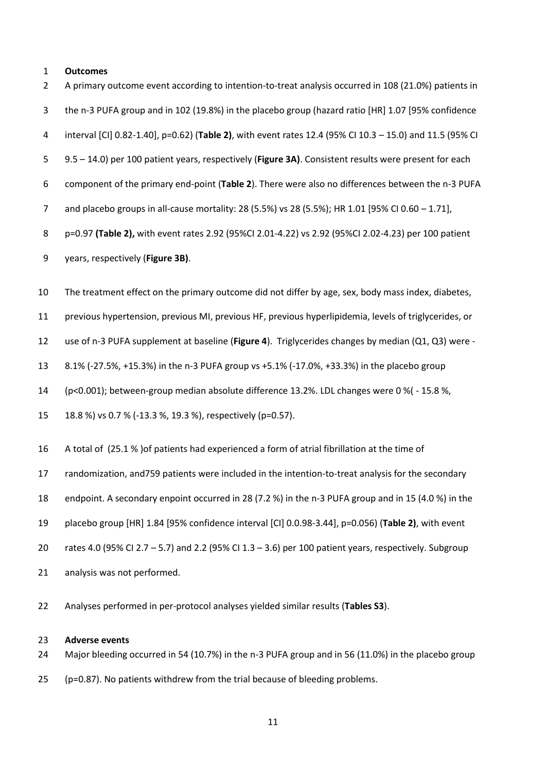## **Outcomes**

| $\overline{2}$ | A primary outcome event according to intention-to-treat analysis occurred in 108 (21.0%) patients in     |
|----------------|----------------------------------------------------------------------------------------------------------|
| 3              | the n-3 PUFA group and in 102 (19.8%) in the placebo group (hazard ratio [HR] 1.07 [95% confidence       |
| 4              | interval [CI] 0.82-1.40], p=0.62) (Table 2), with event rates 12.4 (95% CI 10.3 - 15.0) and 11.5 (95% CI |
| 5              | 9.5 - 14.0) per 100 patient years, respectively (Figure 3A). Consistent results were present for each    |
| 6              | component of the primary end-point (Table 2). There were also no differences between the n-3 PUFA        |
| 7              | and placebo groups in all-cause mortality: 28 (5.5%) vs 28 (5.5%); HR 1.01 [95% CI 0.60 - 1.71],         |
| 8              | p=0.97 (Table 2), with event rates 2.92 (95%CI 2.01-4.22) vs 2.92 (95%CI 2.02-4.23) per 100 patient      |
| 9              | years, respectively (Figure 3B).                                                                         |
| 10             | The treatment effect on the primary outcome did not differ by age, sex, body mass index, diabetes,       |
| 11             | previous hypertension, previous MI, previous HF, previous hyperlipidemia, levels of triglycerides, or    |
| 12             | use of n-3 PUFA supplement at baseline (Figure 4). Triglycerides changes by median (Q1, Q3) were -       |
| 13             | 8.1% (-27.5%, +15.3%) in the n-3 PUFA group vs +5.1% (-17.0%, +33.3%) in the placebo group               |
| 14             | (p<0.001); between-group median absolute difference 13.2%. LDL changes were 0 %( - 15.8 %,               |
| 15             | 18.8 %) vs 0.7 % (-13.3 %, 19.3 %), respectively (p=0.57).                                               |
| 16             | A total of (25.1 % ) of patients had experienced a form of atrial fibrillation at the time of            |
| 17             | randomization, and759 patients were included in the intention-to-treat analysis for the secondary        |
| 18             | endpoint. A secondary enpoint occurred in 28 (7.2 %) in the n-3 PUFA group and in 15 (4.0 %) in the      |
| 19             | placebo group [HR] 1.84 [95% confidence interval [CI] 0.0.98-3.44], p=0.056) (Table 2), with event       |
| 20             | rates 4.0 (95% CI 2.7 - 5.7) and 2.2 (95% CI 1.3 - 3.6) per 100 patient years, respectively. Subgroup    |
| 21             | analysis was not performed.                                                                              |
| 22             | Analyses performed in per-protocol analyses yielded similar results (Tables S3).                         |
| 23             | <b>Adverse events</b>                                                                                    |

- Major bleeding occurred in 54 (10.7%) in the n-3 PUFA group and in 56 (11.0%) in the placebo group
- (p=0.87). No patients withdrew from the trial because of bleeding problems.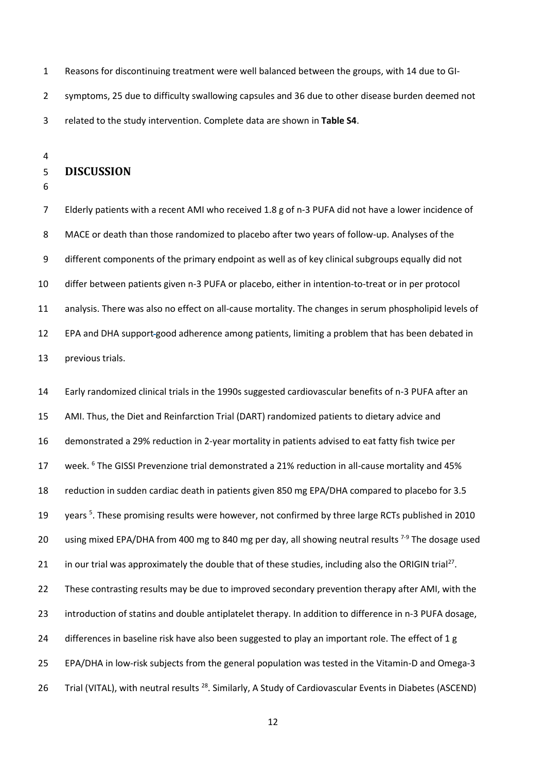Reasons for discontinuing treatment were well balanced between the groups, with 14 due to GI- symptoms, 25 due to difficulty swallowing capsules and 36 due to other disease burden deemed not related to the study intervention. Complete data are shown in **Table S4**.

## **DISCUSSION**

 Elderly patients with a recent AMI who received 1.8 g of n-3 PUFA did not have a lower incidence of MACE or death than those randomized to placebo after two years of follow-up. Analyses of the different components of the primary endpoint as well as of key clinical subgroups equally did not differ between patients given n-3 PUFA or placebo, either in intention-to-treat or in per protocol analysis. There was also no effect on all-cause mortality. The changes in serum phospholipid levels of EPA and DHA support good adherence among patients, limiting a problem that has been debated in previous trials.

 Early randomized clinical trials in the 1990s suggested cardiovascular benefits of n-3 PUFA after an AMI. Thus, the Diet and Reinfarction Trial (DART) randomized patients to dietary advice and demonstrated a 29% reduction in 2-year mortality in patients advised to eat fatty fish twice per 17 week. <sup>6</sup> The GISSI Prevenzione trial demonstrated a 21% reduction in all-cause mortality and 45% reduction in sudden cardiac death in patients given 850 mg EPA/DHA compared to placebo for 3.5 19 years <sup>5</sup>. These promising results were however, not confirmed by three large RCTs published in 2010 20 using mixed EPA/DHA from 400 mg to 840 mg per day, all showing neutral results  $7-9$  The dosage used 21 in our trial was approximately the double that of these studies, including also the ORIGIN trial<sup>27</sup>. These contrasting results may be due to improved secondary prevention therapy after AMI, with the introduction of statins and double antiplatelet therapy. In addition to difference in n-3 PUFA dosage, 24 differences in baseline risk have also been suggested to play an important role. The effect of 1 g EPA/DHA in low-risk subjects from the general population was tested in the Vitamin-D and Omega-3 26 Trial (VITAL), with neutral results <sup>28</sup>. Similarly, A Study of Cardiovascular Events in Diabetes (ASCEND)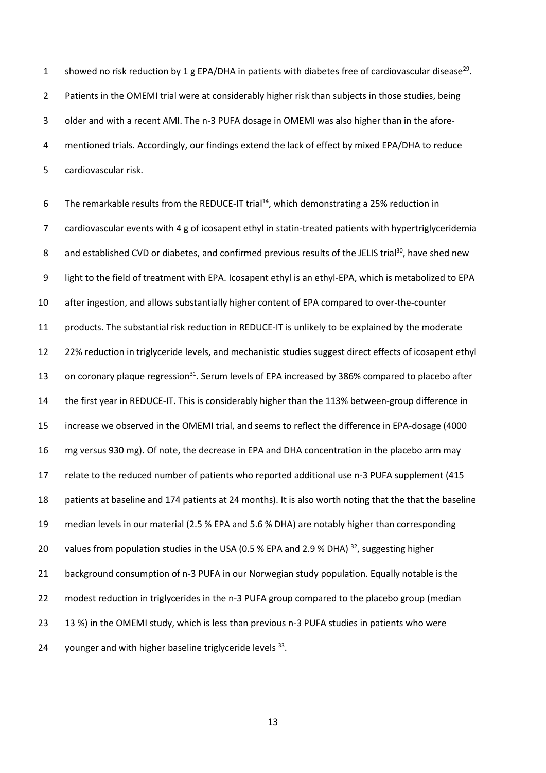1 showed no risk reduction by 1 g EPA/DHA in patients with diabetes free of cardiovascular disease<sup>29</sup>. 2 Patients in the OMEMI trial were at considerably higher risk than subjects in those studies, being older and with a recent AMI. The n-3 PUFA dosage in OMEMI was also higher than in the afore- mentioned trials. Accordingly, our findings extend the lack of effect by mixed EPA/DHA to reduce cardiovascular risk.

6 The remarkable results from the REDUCE-IT trial<sup>14</sup>, which demonstrating a 25% reduction in cardiovascular events with 4 g of icosapent ethyl in statin-treated patients with hypertriglyceridemia 8 and established CVD or diabetes, and confirmed previous results of the JELIS trial<sup>30</sup>, have shed new light to the field of treatment with EPA. Icosapent ethyl is an ethyl-EPA, which is metabolized to EPA after ingestion, and allows substantially higher content of EPA compared to over-the-counter products. The substantial risk reduction in REDUCE-IT is unlikely to be explained by the moderate 12 22% reduction in triglyceride levels, and mechanistic studies suggest direct effects of icosapent ethyl 13 on coronary plaque regression<sup>31</sup>. Serum levels of EPA increased by 386% compared to placebo after the first year in REDUCE-IT. This is considerably higher than the 113% between-group difference in increase we observed in the OMEMI trial, and seems to reflect the difference in EPA-dosage (4000 mg versus 930 mg). Of note, the decrease in EPA and DHA concentration in the placebo arm may relate to the reduced number of patients who reported additional use n-3 PUFA supplement (415 patients at baseline and 174 patients at 24 months). It is also worth noting that the that the baseline median levels in our material (2.5 % EPA and 5.6 % DHA) are notably higher than corresponding 20 values from population studies in the USA (0.5 % EPA and 2.9 % DHA)  $^{32}$ , suggesting higher background consumption of n-3 PUFA in our Norwegian study population. Equally notable is the modest reduction in triglycerides in the n-3 PUFA group compared to the placebo group (median 23 13 %) in the OMEMI study, which is less than previous n-3 PUFA studies in patients who were 24 younger and with higher baseline triglyceride levels .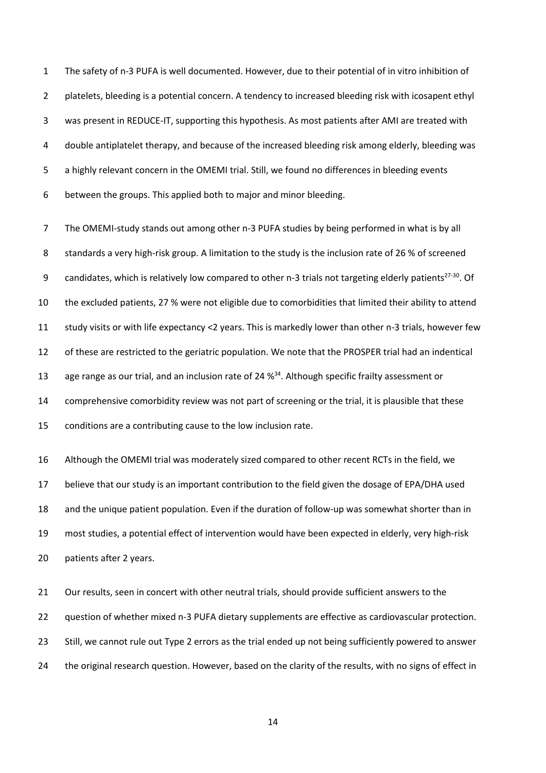The safety of n-3 PUFA is well documented. However, due to their potential of in vitro inhibition of platelets, bleeding is a potential concern. A tendency to increased bleeding risk with icosapent ethyl was present in REDUCE-IT, supporting this hypothesis. As most patients after AMI are treated with double antiplatelet therapy, and because of the increased bleeding risk among elderly, bleeding was a highly relevant concern in the OMEMI trial. Still, we found no differences in bleeding events between the groups. This applied both to major and minor bleeding.

 The OMEMI-study stands out among other n-3 PUFA studies by being performed in what is by all 8 standards a very high-risk group. A limitation to the study is the inclusion rate of 26 % of screened 9 candidates, which is relatively low compared to other n-3 trials not targeting elderly patients<sup>27-30</sup>. Of the excluded patients, 27 % were not eligible due to comorbidities that limited their ability to attend study visits or with life expectancy <2 years. This is markedly lower than other n-3 trials, however few of these are restricted to the geriatric population. We note that the PROSPER trial had an indentical 13 age range as our trial, and an inclusion rate of 24 %<sup>34</sup>. Although specific frailty assessment or comprehensive comorbidity review was not part of screening or the trial, it is plausible that these conditions are a contributing cause to the low inclusion rate.

 Although the OMEMI trial was moderately sized compared to other recent RCTs in the field, we believe that our study is an important contribution to the field given the dosage of EPA/DHA used and the unique patient population. Even if the duration of follow-up was somewhat shorter than in most studies, a potential effect of intervention would have been expected in elderly, very high-risk patients after 2 years.

 Our results, seen in concert with other neutral trials, should provide sufficient answers to the question of whether mixed n-3 PUFA dietary supplements are effective as cardiovascular protection. Still, we cannot rule out Type 2 errors as the trial ended up not being sufficiently powered to answer the original research question. However, based on the clarity of the results, with no signs of effect in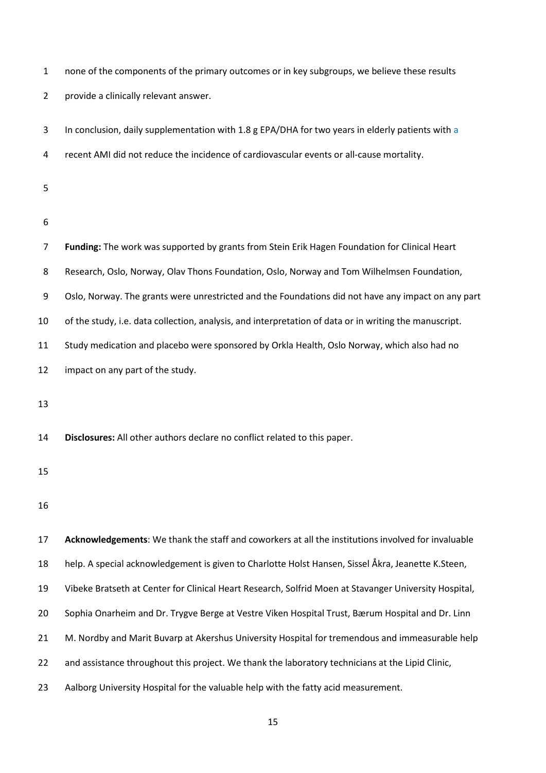| $\mathbf{1}$   | none of the components of the primary outcomes or in key subgroups, we believe these results           |
|----------------|--------------------------------------------------------------------------------------------------------|
| $\overline{2}$ | provide a clinically relevant answer.                                                                  |
| 3              | In conclusion, daily supplementation with 1.8 g EPA/DHA for two years in elderly patients with a       |
| 4              | recent AMI did not reduce the incidence of cardiovascular events or all-cause mortality.               |
| 5              |                                                                                                        |
| 6              |                                                                                                        |
| 7              | Funding: The work was supported by grants from Stein Erik Hagen Foundation for Clinical Heart          |
| 8              | Research, Oslo, Norway, Olav Thons Foundation, Oslo, Norway and Tom Wilhelmsen Foundation,             |
| 9              | Oslo, Norway. The grants were unrestricted and the Foundations did not have any impact on any part     |
| 10             | of the study, i.e. data collection, analysis, and interpretation of data or in writing the manuscript. |
| 11             | Study medication and placebo were sponsored by Orkla Health, Oslo Norway, which also had no            |
| 12             | impact on any part of the study.                                                                       |
| 13             |                                                                                                        |
| 14             | Disclosures: All other authors declare no conflict related to this paper.                              |
| 15             |                                                                                                        |
| 16             |                                                                                                        |
| 17             | Acknowledgements: We thank the staff and coworkers at all the institutions involved for invaluable     |
| 18             | help. A special acknowledgement is given to Charlotte Holst Hansen, Sissel Åkra, Jeanette K.Steen,     |
| 19             | Vibeke Bratseth at Center for Clinical Heart Research, Solfrid Moen at Stavanger University Hospital,  |
| 20             | Sophia Onarheim and Dr. Trygve Berge at Vestre Viken Hospital Trust, Bærum Hospital and Dr. Linn       |
| 21             | M. Nordby and Marit Buvarp at Akershus University Hospital for tremendous and immeasurable help        |
| 22             | and assistance throughout this project. We thank the laboratory technicians at the Lipid Clinic,       |

Aalborg University Hospital for the valuable help with the fatty acid measurement.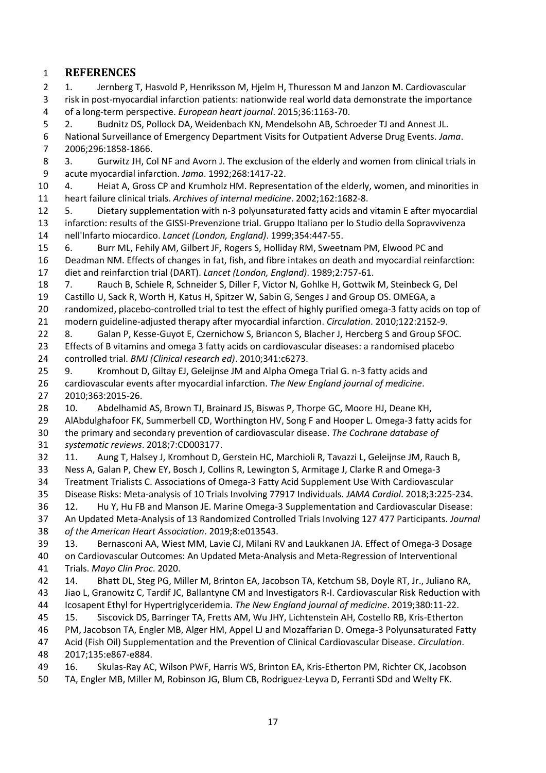# **REFERENCES**

 1. Jernberg T, Hasvold P, Henriksson M, Hjelm H, Thuresson M and Janzon M. Cardiovascular risk in post-myocardial infarction patients: nationwide real world data demonstrate the importance of a long-term perspective. *European heart journal*. 2015;36:1163-70.

2. Budnitz DS, Pollock DA, Weidenbach KN, Mendelsohn AB, Schroeder TJ and Annest JL.

 National Surveillance of Emergency Department Visits for Outpatient Adverse Drug Events. *Jama*. 2006;296:1858-1866.

 3. Gurwitz JH, Col NF and Avorn J. The exclusion of the elderly and women from clinical trials in acute myocardial infarction. *Jama*. 1992;268:1417-22.

 4. Heiat A, Gross CP and Krumholz HM. Representation of the elderly, women, and minorities in heart failure clinical trials. *Archives of internal medicine*. 2002;162:1682-8.

 5. Dietary supplementation with n-3 polyunsaturated fatty acids and vitamin E after myocardial infarction: results of the GISSI-Prevenzione trial. Gruppo Italiano per lo Studio della Sopravvivenza nell'Infarto miocardico. *Lancet (London, England)*. 1999;354:447-55.

 6. Burr ML, Fehily AM, Gilbert JF, Rogers S, Holliday RM, Sweetnam PM, Elwood PC and Deadman NM. Effects of changes in fat, fish, and fibre intakes on death and myocardial reinfarction: diet and reinfarction trial (DART). *Lancet (London, England)*. 1989;2:757-61.

7. Rauch B, Schiele R, Schneider S, Diller F, Victor N, Gohlke H, Gottwik M, Steinbeck G, Del

 Castillo U, Sack R, Worth H, Katus H, Spitzer W, Sabin G, Senges J and Group OS. OMEGA, a randomized, placebo-controlled trial to test the effect of highly purified omega-3 fatty acids on top of modern guideline-adjusted therapy after myocardial infarction. *Circulation*. 2010;122:2152-9.

22 8. Galan P, Kesse-Guyot E, Czernichow S, Briancon S, Blacher J, Hercberg S and Group SFOC.

 Effects of B vitamins and omega 3 fatty acids on cardiovascular diseases: a randomised placebo controlled trial. *BMJ (Clinical research ed)*. 2010;341:c6273.

 9. Kromhout D, Giltay EJ, Geleijnse JM and Alpha Omega Trial G. n-3 fatty acids and cardiovascular events after myocardial infarction. *The New England journal of medicine*. 2010;363:2015-26.

 10. Abdelhamid AS, Brown TJ, Brainard JS, Biswas P, Thorpe GC, Moore HJ, Deane KH, AlAbdulghafoor FK, Summerbell CD, Worthington HV, Song F and Hooper L. Omega-3 fatty acids for the primary and secondary prevention of cardiovascular disease. *The Cochrane database of* 

*systematic reviews*. 2018;7:CD003177.

 11. Aung T, Halsey J, Kromhout D, Gerstein HC, Marchioli R, Tavazzi L, Geleijnse JM, Rauch B, Ness A, Galan P, Chew EY, Bosch J, Collins R, Lewington S, Armitage J, Clarke R and Omega-3 Treatment Trialists C. Associations of Omega-3 Fatty Acid Supplement Use With Cardiovascular

Disease Risks: Meta-analysis of 10 Trials Involving 77917 Individuals. *JAMA Cardiol*. 2018;3:225-234.

12. Hu Y, Hu FB and Manson JE. Marine Omega-3 Supplementation and Cardiovascular Disease:

 An Updated Meta-Analysis of 13 Randomized Controlled Trials Involving 127 477 Participants. *Journal of the American Heart Association*. 2019;8:e013543.

 13. Bernasconi AA, Wiest MM, Lavie CJ, Milani RV and Laukkanen JA. Effect of Omega-3 Dosage on Cardiovascular Outcomes: An Updated Meta-Analysis and Meta-Regression of Interventional

Trials. *Mayo Clin Proc*. 2020.

 14. Bhatt DL, Steg PG, Miller M, Brinton EA, Jacobson TA, Ketchum SB, Doyle RT, Jr., Juliano RA, Jiao L, Granowitz C, Tardif JC, Ballantyne CM and Investigators R-I. Cardiovascular Risk Reduction with Icosapent Ethyl for Hypertriglyceridemia. *The New England journal of medicine*. 2019;380:11-22.

15. Siscovick DS, Barringer TA, Fretts AM, Wu JHY, Lichtenstein AH, Costello RB, Kris-Etherton

PM, Jacobson TA, Engler MB, Alger HM, Appel LJ and Mozaffarian D. Omega-3 Polyunsaturated Fatty

 Acid (Fish Oil) Supplementation and the Prevention of Clinical Cardiovascular Disease. *Circulation*. 2017;135:e867-e884.

16. Skulas-Ray AC, Wilson PWF, Harris WS, Brinton EA, Kris-Etherton PM, Richter CK, Jacobson

TA, Engler MB, Miller M, Robinson JG, Blum CB, Rodriguez-Leyva D, Ferranti SDd and Welty FK.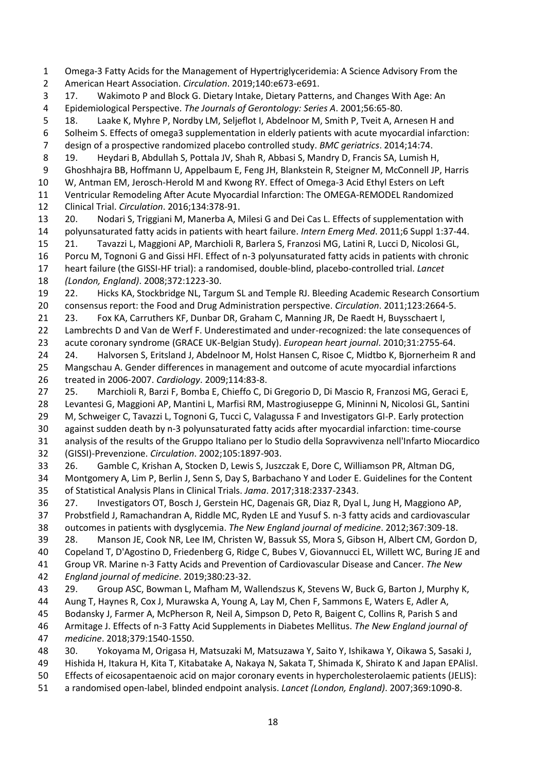Omega-3 Fatty Acids for the Management of Hypertriglyceridemia: A Science Advisory From the American Heart Association. *Circulation*. 2019;140:e673-e691. 17. Wakimoto P and Block G. Dietary Intake, Dietary Patterns, and Changes With Age: An Epidemiological Perspective. *The Journals of Gerontology: Series A*. 2001;56:65-80. 18. Laake K, Myhre P, Nordby LM, Seljeflot I, Abdelnoor M, Smith P, Tveit A, Arnesen H and Solheim S. Effects of omega3 supplementation in elderly patients with acute myocardial infarction: design of a prospective randomized placebo controlled study. *BMC geriatrics*. 2014;14:74. 19. Heydari B, Abdullah S, Pottala JV, Shah R, Abbasi S, Mandry D, Francis SA, Lumish H, Ghoshhajra BB, Hoffmann U, Appelbaum E, Feng JH, Blankstein R, Steigner M, McConnell JP, Harris W, Antman EM, Jerosch-Herold M and Kwong RY. Effect of Omega-3 Acid Ethyl Esters on Left Ventricular Remodeling After Acute Myocardial Infarction: The OMEGA-REMODEL Randomized Clinical Trial. *Circulation*. 2016;134:378-91. 20. Nodari S, Triggiani M, Manerba A, Milesi G and Dei Cas L. Effects of supplementation with polyunsaturated fatty acids in patients with heart failure. *Intern Emerg Med*. 2011;6 Suppl 1:37-44. 21. Tavazzi L, Maggioni AP, Marchioli R, Barlera S, Franzosi MG, Latini R, Lucci D, Nicolosi GL, Porcu M, Tognoni G and Gissi HFI. Effect of n-3 polyunsaturated fatty acids in patients with chronic heart failure (the GISSI-HF trial): a randomised, double-blind, placebo-controlled trial. *Lancet (London, England)*. 2008;372:1223-30. 22. Hicks KA, Stockbridge NL, Targum SL and Temple RJ. Bleeding Academic Research Consortium consensus report: the Food and Drug Administration perspective. *Circulation*. 2011;123:2664-5. 21 23. Fox KA, Carruthers KF, Dunbar DR, Graham C, Manning JR, De Raedt H, Buysschaert I, Lambrechts D and Van de Werf F. Underestimated and under-recognized: the late consequences of acute coronary syndrome (GRACE UK-Belgian Study). *European heart journal*. 2010;31:2755-64. 24 24. Halvorsen S, Eritsland J, Abdelnoor M, Holst Hansen C, Risoe C, Midtbo K, Bjornerheim R and Mangschau A. Gender differences in management and outcome of acute myocardial infarctions treated in 2006-2007. *Cardiology*. 2009;114:83-8. 25. Marchioli R, Barzi F, Bomba E, Chieffo C, Di Gregorio D, Di Mascio R, Franzosi MG, Geraci E, Levantesi G, Maggioni AP, Mantini L, Marfisi RM, Mastrogiuseppe G, Mininni N, Nicolosi GL, Santini 29 M, Schweiger C, Tavazzi L, Tognoni G, Tucci C, Valagussa F and Investigators GI-P. Early protection against sudden death by n-3 polyunsaturated fatty acids after myocardial infarction: time-course analysis of the results of the Gruppo Italiano per lo Studio della Sopravvivenza nell'Infarto Miocardico (GISSI)-Prevenzione. *Circulation*. 2002;105:1897-903. 26. Gamble C, Krishan A, Stocken D, Lewis S, Juszczak E, Dore C, Williamson PR, Altman DG, Montgomery A, Lim P, Berlin J, Senn S, Day S, Barbachano Y and Loder E. Guidelines for the Content of Statistical Analysis Plans in Clinical Trials. *Jama*. 2017;318:2337-2343. 27. Investigators OT, Bosch J, Gerstein HC, Dagenais GR, Diaz R, Dyal L, Jung H, Maggiono AP, Probstfield J, Ramachandran A, Riddle MC, Ryden LE and Yusuf S. n-3 fatty acids and cardiovascular outcomes in patients with dysglycemia. *The New England journal of medicine*. 2012;367:309-18. 28. Manson JE, Cook NR, Lee IM, Christen W, Bassuk SS, Mora S, Gibson H, Albert CM, Gordon D, Copeland T, D'Agostino D, Friedenberg G, Ridge C, Bubes V, Giovannucci EL, Willett WC, Buring JE and Group VR. Marine n-3 Fatty Acids and Prevention of Cardiovascular Disease and Cancer. *The New England journal of medicine*. 2019;380:23-32. 29. Group ASC, Bowman L, Mafham M, Wallendszus K, Stevens W, Buck G, Barton J, Murphy K, Aung T, Haynes R, Cox J, Murawska A, Young A, Lay M, Chen F, Sammons E, Waters E, Adler A, Bodansky J, Farmer A, McPherson R, Neil A, Simpson D, Peto R, Baigent C, Collins R, Parish S and Armitage J. Effects of n-3 Fatty Acid Supplements in Diabetes Mellitus. *The New England journal of medicine*. 2018;379:1540-1550. 30. Yokoyama M, Origasa H, Matsuzaki M, Matsuzawa Y, Saito Y, Ishikawa Y, Oikawa S, Sasaki J, Hishida H, Itakura H, Kita T, Kitabatake A, Nakaya N, Sakata T, Shimada K, Shirato K and Japan EPAlisI.

 Effects of eicosapentaenoic acid on major coronary events in hypercholesterolaemic patients (JELIS): a randomised open-label, blinded endpoint analysis. *Lancet (London, England)*. 2007;369:1090-8.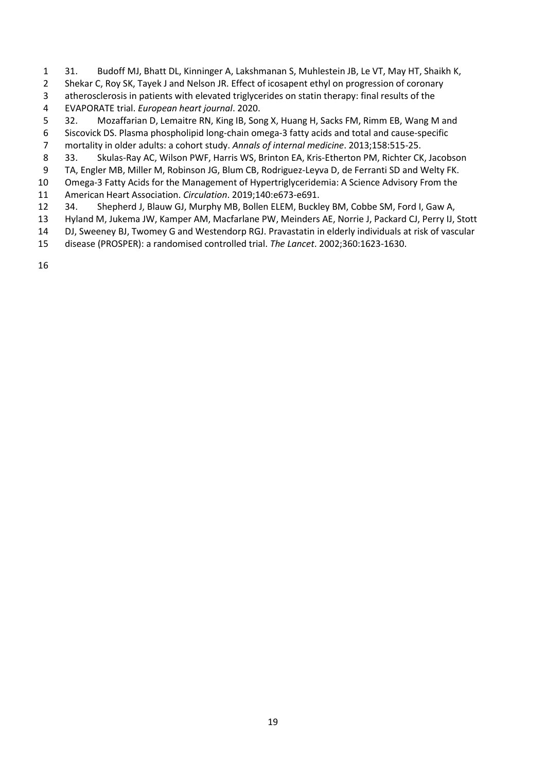- 31. Budoff MJ, Bhatt DL, Kinninger A, Lakshmanan S, Muhlestein JB, Le VT, May HT, Shaikh K,
- Shekar C, Roy SK, Tayek J and Nelson JR. Effect of icosapent ethyl on progression of coronary
- atherosclerosis in patients with elevated triglycerides on statin therapy: final results of the EVAPORATE trial. *European heart journal*. 2020.
- 32. Mozaffarian D, Lemaitre RN, King IB, Song X, Huang H, Sacks FM, Rimm EB, Wang M and
- Siscovick DS. Plasma phospholipid long-chain omega-3 fatty acids and total and cause-specific
- mortality in older adults: a cohort study. *Annals of internal medicine*. 2013;158:515-25.
- 33. Skulas-Ray AC, Wilson PWF, Harris WS, Brinton EA, Kris-Etherton PM, Richter CK, Jacobson
- TA, Engler MB, Miller M, Robinson JG, Blum CB, Rodriguez-Leyva D, de Ferranti SD and Welty FK.
- Omega-3 Fatty Acids for the Management of Hypertriglyceridemia: A Science Advisory From the American Heart Association. *Circulation*. 2019;140:e673-e691.
- 34. Shepherd J, Blauw GJ, Murphy MB, Bollen ELEM, Buckley BM, Cobbe SM, Ford I, Gaw A,
- Hyland M, Jukema JW, Kamper AM, Macfarlane PW, Meinders AE, Norrie J, Packard CJ, Perry IJ, Stott
- DJ, Sweeney BJ, Twomey G and Westendorp RGJ. Pravastatin in elderly individuals at risk of vascular
- disease (PROSPER): a randomised controlled trial. *The Lancet*. 2002;360:1623-1630.
-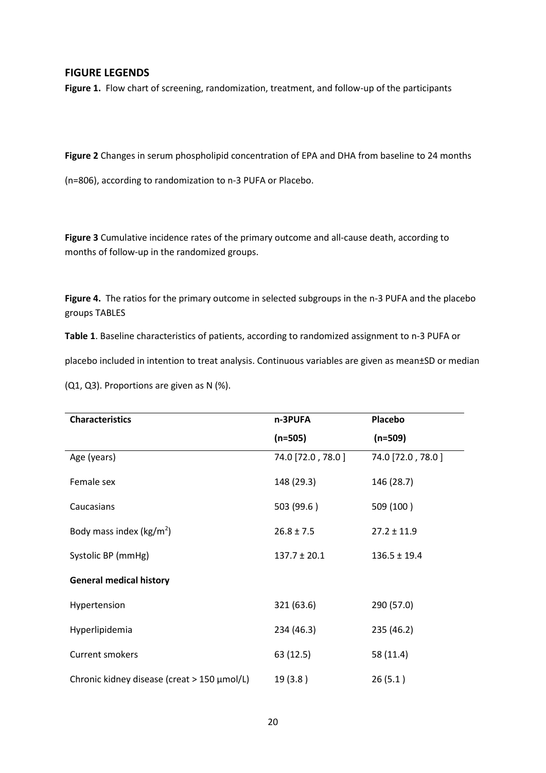# **FIGURE LEGENDS**

Figure 1. Flow chart of screening, randomization, treatment, and follow-up of the participants

**Figure 2** Changes in serum phospholipid concentration of EPA and DHA from baseline to 24 months

(n=806), according to randomization to n-3 PUFA or Placebo.

**Figure 3** Cumulative incidence rates of the primary outcome and all-cause death, according to months of follow-up in the randomized groups.

**Figure 4.** The ratios for the primary outcome in selected subgroups in the n-3 PUFA and the placebo groups TABLES

**Table 1**. Baseline characteristics of patients, according to randomized assignment to n-3 PUFA or

placebo included in intention to treat analysis. Continuous variables are given as mean±SD or median

(Q1, Q3). Proportions are given as N (%).

| <b>Characteristics</b>                      | n-3PUFA           | Placebo           |  |
|---------------------------------------------|-------------------|-------------------|--|
|                                             | $(n=505)$         | $(n=509)$         |  |
| Age (years)                                 | 74.0 [72.0, 78.0] | 74.0 [72.0, 78.0] |  |
| Female sex                                  | 148 (29.3)        | 146 (28.7)        |  |
| Caucasians                                  | 503 (99.6)        | 509 (100)         |  |
| Body mass index ( $kg/m2$ )                 | $26.8 \pm 7.5$    | $27.2 \pm 11.9$   |  |
| Systolic BP (mmHg)                          | $137.7 \pm 20.1$  | $136.5 \pm 19.4$  |  |
| <b>General medical history</b>              |                   |                   |  |
| Hypertension                                | 321 (63.6)        | 290 (57.0)        |  |
| Hyperlipidemia                              | 234 (46.3)        | 235 (46.2)        |  |
| <b>Current smokers</b>                      | 63 (12.5)         | 58 (11.4)         |  |
| Chronic kidney disease (creat > 150 µmol/L) | 19(3.8)           | 26(5.1)           |  |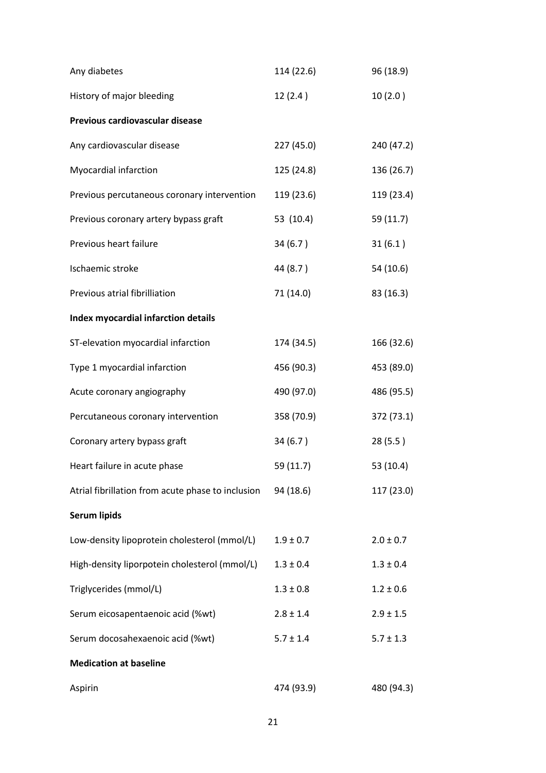| Any diabetes                                      | 114 (22.6)    | 96 (18.9)     |
|---------------------------------------------------|---------------|---------------|
| History of major bleeding                         | 12(2.4)       | 10(2.0)       |
| Previous cardiovascular disease                   |               |               |
| Any cardiovascular disease                        | 227 (45.0)    | 240 (47.2)    |
| Myocardial infarction                             | 125 (24.8)    | 136 (26.7)    |
| Previous percutaneous coronary intervention       | 119 (23.6)    | 119 (23.4)    |
| Previous coronary artery bypass graft             | 53 (10.4)     | 59 (11.7)     |
| Previous heart failure                            | 34 (6.7)      | 31(6.1)       |
| Ischaemic stroke                                  | 44 (8.7)      | 54 (10.6)     |
| Previous atrial fibrilliation                     | 71 (14.0)     | 83 (16.3)     |
| Index myocardial infarction details               |               |               |
| ST-elevation myocardial infarction                | 174 (34.5)    | 166 (32.6)    |
| Type 1 myocardial infarction                      | 456 (90.3)    | 453 (89.0)    |
| Acute coronary angiography                        | 490 (97.0)    | 486 (95.5)    |
| Percutaneous coronary intervention                | 358 (70.9)    | 372 (73.1)    |
| Coronary artery bypass graft                      | 34(6.7)       | 28(5.5)       |
| Heart failure in acute phase                      | 59 (11.7)     | 53 (10.4)     |
| Atrial fibrillation from acute phase to inclusion | 94 (18.6)     | 117 (23.0)    |
| <b>Serum lipids</b>                               |               |               |
| Low-density lipoprotein cholesterol (mmol/L)      | $1.9 \pm 0.7$ | $2.0 \pm 0.7$ |
| High-density liporpotein cholesterol (mmol/L)     | $1.3 \pm 0.4$ | $1.3 \pm 0.4$ |
| Triglycerides (mmol/L)                            | $1.3 \pm 0.8$ | $1.2 \pm 0.6$ |
| Serum eicosapentaenoic acid (%wt)                 | $2.8 \pm 1.4$ | $2.9 \pm 1.5$ |
| Serum docosahexaenoic acid (%wt)                  | $5.7 \pm 1.4$ | $5.7 \pm 1.3$ |
| <b>Medication at baseline</b>                     |               |               |
| Aspirin                                           | 474 (93.9)    | 480 (94.3)    |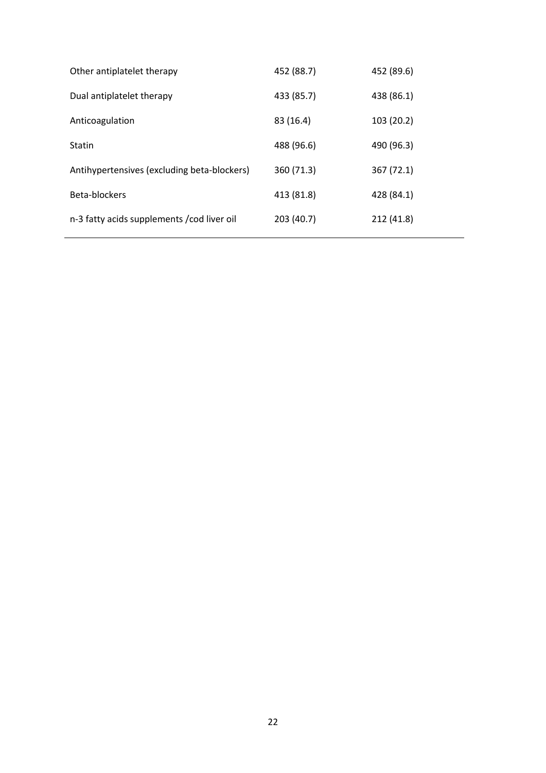| 452 (88.7) | 452 (89.6) |
|------------|------------|
| 433 (85.7) | 438 (86.1) |
| 83 (16.4)  | 103 (20.2) |
| 488 (96.6) | 490 (96.3) |
| 360 (71.3) | 367 (72.1) |
| 413 (81.8) | 428 (84.1) |
| 203 (40.7) | 212 (41.8) |
|            |            |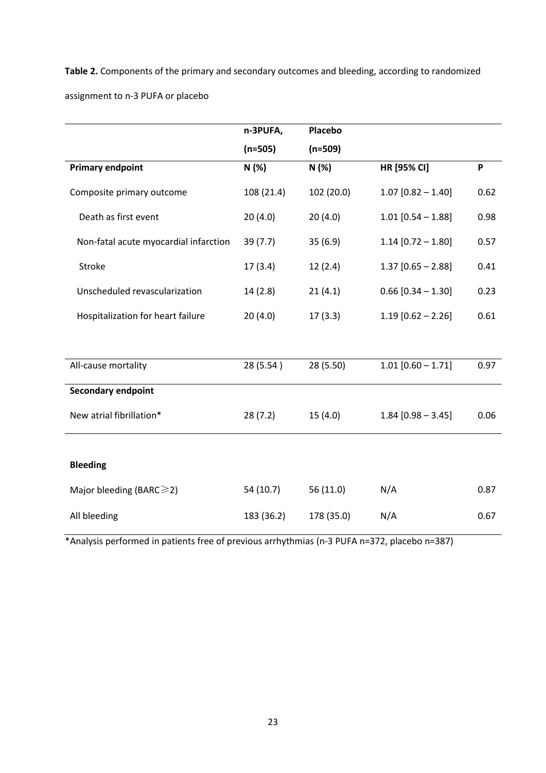**Table 2.** Components of the primary and secondary outcomes and bleeding, according to randomized assignment to n-3 PUFA or placebo

|                                       | n-3PUFA,   | Placebo    |                      |      |
|---------------------------------------|------------|------------|----------------------|------|
|                                       | $(n=505)$  | $(n=509)$  |                      |      |
| <b>Primary endpoint</b>               | N (%)      | N(%)       | HR [95% CI]          | P    |
| Composite primary outcome             | 108 (21.4) | 102 (20.0) | $1.07$ [0.82 - 1.40] | 0.62 |
| Death as first event                  | 20(4.0)    | 20(4.0)    | $1.01$ [0.54 - 1.88] | 0.98 |
| Non-fatal acute myocardial infarction | 39(7.7)    | 35(6.9)    | $1.14$ [0.72 - 1.80] | 0.57 |
| Stroke                                | 17(3.4)    | 12(2.4)    | $1.37$ [0.65 - 2.88] | 0.41 |
| Unscheduled revascularization         | 14(2.8)    | 21(4.1)    | $0.66$ [0.34 - 1.30] | 0.23 |
| Hospitalization for heart failure     | 20(4.0)    | 17(3.3)    | $1.19$ [0.62 - 2.26] | 0.61 |
|                                       |            |            |                      |      |
| All-cause mortality                   | 28 (5.54)  | 28 (5.50)  | $1.01$ [0.60 - 1.71] | 0.97 |
| <b>Secondary endpoint</b>             |            |            |                      |      |
| New atrial fibrillation*              | 28(7.2)    | 15(4.0)    | $1.84$ [0.98 - 3.45] | 0.06 |
|                                       |            |            |                      |      |
| <b>Bleeding</b>                       |            |            |                      |      |
| Major bleeding (BARC $\geq$ 2)        | 54(10.7)   | 56 (11.0)  | N/A                  | 0.87 |
| All bleeding                          | 183 (36.2) | 178 (35.0) | N/A                  | 0.67 |

\*Analysis performed in patients free of previous arrhythmias (n-3 PUFA n=372, placebo n=387)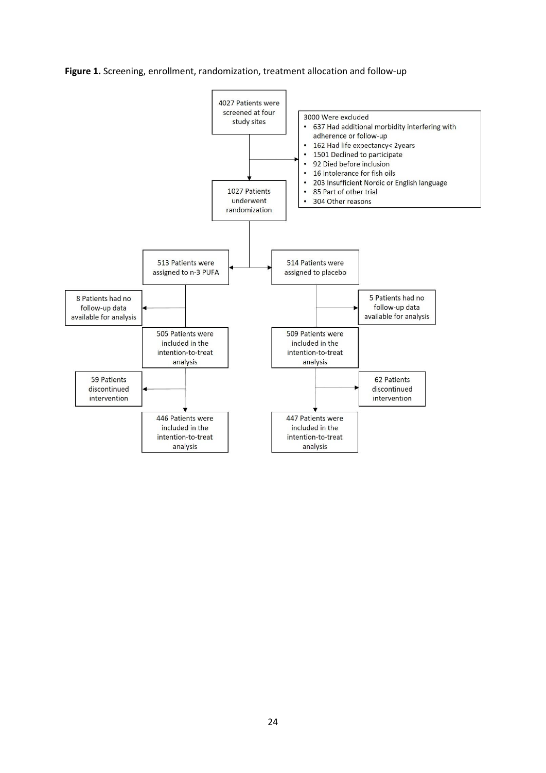

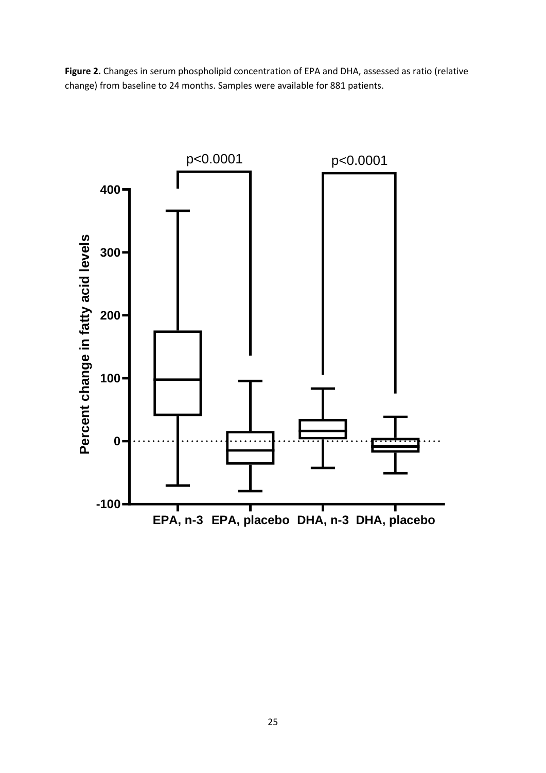Figure 2. Changes in serum phospholipid concentration of EPA and DHA, assessed as ratio (relative change) from baseline to 24 months. Samples were available for 881 patients.

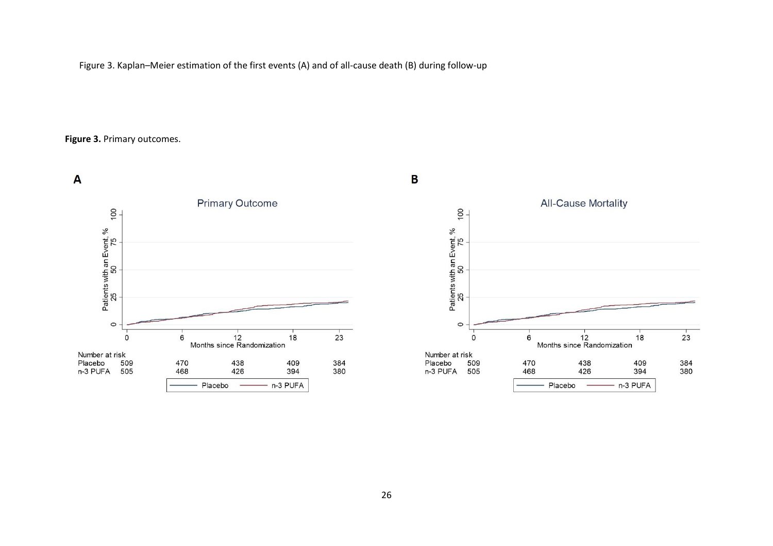Figure 3. Kaplan–Meier estimation of the first events (A) and of all-cause death (B) during follow-up

**Figure 3.** Primary outcomes.